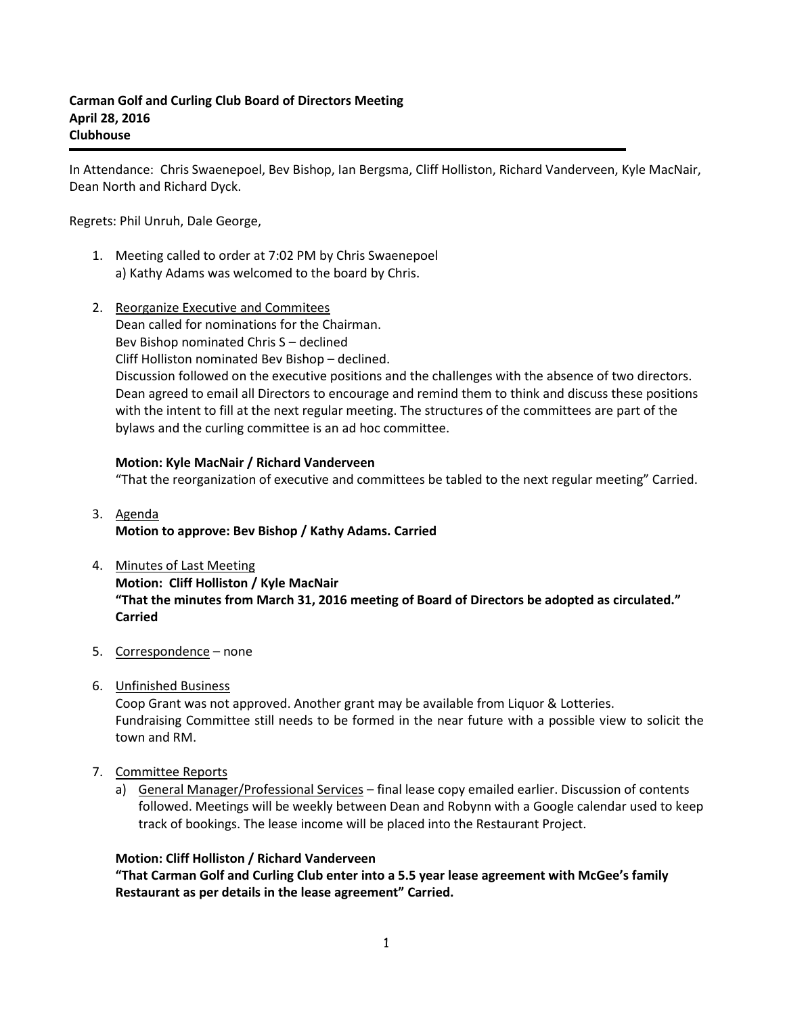In Attendance: Chris Swaenepoel, Bev Bishop, Ian Bergsma, Cliff Holliston, Richard Vanderveen, Kyle MacNair, Dean North and Richard Dyck.

Regrets: Phil Unruh, Dale George,

- 1. Meeting called to order at 7:02 PM by Chris Swaenepoel a) Kathy Adams was welcomed to the board by Chris.
- 2. Reorganize Executive and Commitees Dean called for nominations for the Chairman. Bev Bishop nominated Chris S – declined Cliff Holliston nominated Bev Bishop – declined. Discussion followed on the executive positions and the challenges with the absence of two directors. Dean agreed to email all Directors to encourage and remind them to think and discuss these positions with the intent to fill at the next regular meeting. The structures of the committees are part of the bylaws and the curling committee is an ad hoc committee.

# **Motion: Kyle MacNair / Richard Vanderveen**

"That the reorganization of executive and committees be tabled to the next regular meeting" Carried.

# 3. Agenda **Motion to approve: Bev Bishop / Kathy Adams. Carried**

- 4. Minutes of Last Meeting **Motion: Cliff Holliston / Kyle MacNair "That the minutes from March 31, 2016 meeting of Board of Directors be adopted as circulated." Carried**
- 5. Correspondence none
- 6. Unfinished Business

Coop Grant was not approved. Another grant may be available from Liquor & Lotteries. Fundraising Committee still needs to be formed in the near future with a possible view to solicit the town and RM.

- 7. Committee Reports
	- a) General Manager/Professional Services final lease copy emailed earlier. Discussion of contents followed. Meetings will be weekly between Dean and Robynn with a Google calendar used to keep track of bookings. The lease income will be placed into the Restaurant Project.

### **Motion: Cliff Holliston / Richard Vanderveen**

**"That Carman Golf and Curling Club enter into a 5.5 year lease agreement with McGee's family Restaurant as per details in the lease agreement" Carried.**